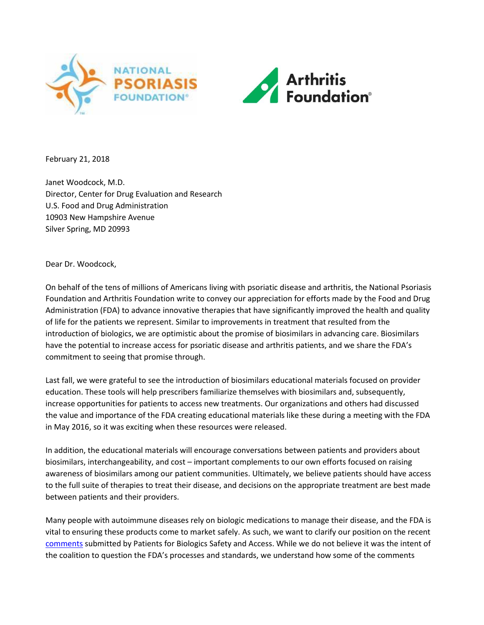



February 21, 2018

Janet Woodcock, M.D. Director, Center for Drug Evaluation and Research U.S. Food and Drug Administration 10903 New Hampshire Avenue Silver Spring, MD 20993

Dear Dr. Woodcock,

On behalf of the tens of millions of Americans living with psoriatic disease and arthritis, the National Psoriasis Foundation and Arthritis Foundation write to convey our appreciation for efforts made by the Food and Drug Administration (FDA) to advance innovative therapies that have significantly improved the health and quality of life for the patients we represent. Similar to improvements in treatment that resulted from the introduction of biologics, we are optimistic about the promise of biosimilars in advancing care. Biosimilars have the potential to increase access for psoriatic disease and arthritis patients, and we share the FDA's commitment to seeing that promise through.

Last fall, we were grateful to see the introduction of biosimilars educational materials focused on provider education. These tools will help prescribers familiarize themselves with biosimilars and, subsequently, increase opportunities for patients to access new treatments. Our organizations and others had discussed the value and importance of the FDA creating educational materials like these during a meeting with the FDA in May 2016, so it was exciting when these resources were released.

In addition, the educational materials will encourage conversations between patients and providers about biosimilars, interchangeability, and cost – important complements to our own efforts focused on raising awareness of biosimilars among our patient communities. Ultimately, we believe patients should have access to the full suite of therapies to treat their disease, and decisions on the appropriate treatment are best made between patients and their providers.

Many people with autoimmune diseases rely on biologic medications to manage their disease, and the FDA is vital to ensuring these products come to market safely. As such, we want to clarify our position on the recent [comments](https://static1.squarespace.com/static/5422fdede4b033c5bc610c72/t/5a858ed471c10b7697fa9ae1/1518702314008/PBSA+Feedback+-+FDA+Biosimilars+Website.pdf) submitted by Patients for Biologics Safety and Access. While we do not believe it was the intent of the coalition to question the FDA's processes and standards, we understand how some of the comments